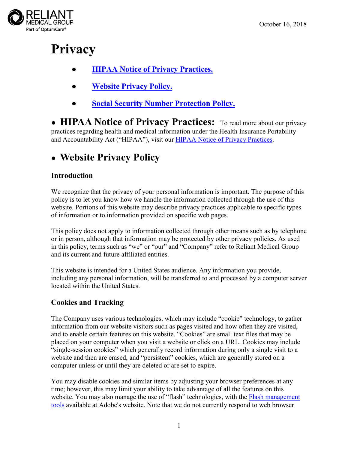

# **Privacy**

- **● [HIPAA Notice of Privacy Practices.](#page-0-0)**
- **[Website Privacy Policy.](#page-0-1)**
- **● Social Security Number Protection Policy.**

<span id="page-0-0"></span>**● HIPAA Notice of Privacy Practices:** To read more about our privacy practices regarding health and medical information under the Health Insurance Portability and Accountability Act ("HIPAA"), visit our [HIPAA Notice of Privacy Practices.](https://reliantmedicalgroup.org/pdfs/HIPAA_Notice_of_Privacy_Practices.pdf)

# <span id="page-0-1"></span>**● Website Privacy Policy**

# **Introduction**

We recognize that the privacy of your personal information is important. The purpose of this policy is to let you know how we handle the information collected through the use of this website. Portions of this website may describe privacy practices applicable to specific types of information or to information provided on specific web pages.

This policy does not apply to information collected through other means such as by telephone or in person, although that information may be protected by other privacy policies. As used in this policy, terms such as "we" or "our" and "Company" refer to Reliant Medical Group and its current and future affiliated entities.

This website is intended for a United States audience. Any information you provide, including any personal information, will be transferred to and processed by a computer server located within the United States.

# **Cookies and Tracking**

The Company uses various technologies, which may include "cookie" technology, to gather information from our website visitors such as pages visited and how often they are visited, and to enable certain features on this website. "Cookies" are small text files that may be placed on your computer when you visit a website or click on a URL. Cookies may include "single-session cookies" which generally record information during only a single visit to a website and then are erased, and "persistent" cookies, which are generally stored on a computer unless or until they are deleted or are set to expire.

You may disable cookies and similar items by adjusting your browser preferences at any time; however, this may limit your ability to take advantage of all the features on this website. You may also manage the use of "flash" technologies, with the Flash management [tools](http://www.adobe.com/devnet/security.html) available at Adobe's website. Note that we do not currently respond to web browser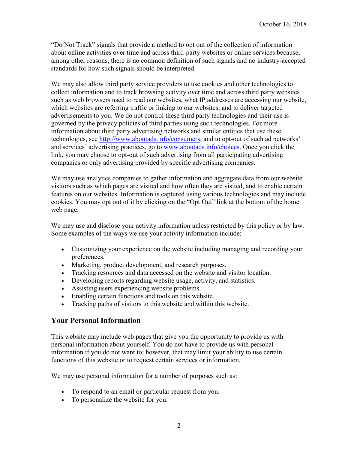"Do Not Track" signals that provide a method to opt out of the collection of information about online activities over time and across third-party websites or online services because, among other reasons, there is no common definition of such signals and no industry-accepted standards for how such signals should be interpreted.

We may also allow third party service providers to use cookies and other technologies to collect information and to track browsing activity over time and across third party websites such as web browsers used to read our websites, what IP addresses are accessing our website, which websites are referring traffic or linking to our websites, and to deliver targeted advertisements to you. We do not control these third party technologies and their use is governed by the privacy policies of third parties using such technologies. For more information about third party advertising networks and similar entities that use these technologies, see [http://www.aboutads.info/consumers,](http://www.aboutads.info/consumers) and to opt-out of such ad networks' and services' advertising practices, go to [www.aboutads.info/choices.](http://www.aboutads.info/choices) Once you click the link, you may choose to opt-out of such advertising from all participating advertising companies or only advertising provided by specific advertising companies.

We may use analytics companies to gather information and aggregate data from our website visitors such as which pages are visited and how often they are visited, and to enable certain features on our websites. Information is captured using various technologies and may include cookies. You may opt out of it by clicking on the "Opt Out" link at the bottom of the home web page.

We may use and disclose your activity information unless restricted by this policy or by law. Some examples of the ways we use your activity information include:

- Customizing your experience on the website including managing and recording your preferences.
- Marketing, product development, and research purposes.
- Tracking resources and data accessed on the website and visitor location.
- Developing reports regarding website usage, activity, and statistics.
- Assisting users experiencing website problems.
- Enabling certain functions and tools on this website.
- Tracking paths of visitors to this website and within this website.

#### **Your Personal Information**

This website may include web pages that give you the opportunity to provide us with personal information about yourself. You do not have to provide us with personal information if you do not want to; however, that may limit your ability to use certain functions of this website or to request certain services or information.

We may use personal information for a number of purposes such as:

- To respond to an email or particular request from you.
- To personalize the website for you.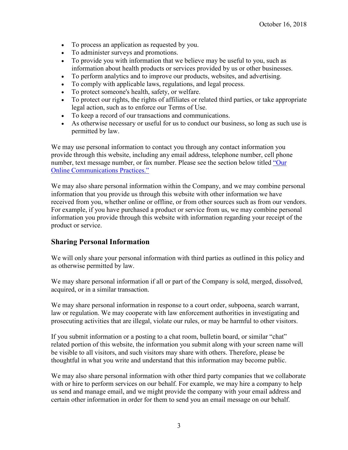- To process an application as requested by you.
- To administer surveys and promotions.
- To provide you with information that we believe may be useful to you, such as information about health products or services provided by us or other businesses.
- To perform analytics and to improve our products, websites, and advertising.
- To comply with applicable laws, regulations, and legal process.
- To protect someone's health, safety, or welfare.
- To protect our rights, the rights of affiliates or related third parties, or take appropriate legal action, such as to enforce our Terms of Use.
- To keep a record of our transactions and communications.
- As otherwise necessary or useful for us to conduct our business, so long as such use is permitted by law.

We may use personal information to contact you through any contact information you provide through this website, including any email address, telephone number, cell phone number, text message number, or fax number. Please see the section below titled ["Our](#page-3-0)  [Online Communications Practices."](#page-3-0)

We may also share personal information within the Company, and we may combine personal information that you provide us through this website with other information we have received from you, whether online or offline, or from other sources such as from our vendors. For example, if you have purchased a product or service from us, we may combine personal information you provide through this website with information regarding your receipt of the product or service.

#### **Sharing Personal Information**

We will only share your personal information with third parties as outlined in this policy and as otherwise permitted by law.

We may share personal information if all or part of the Company is sold, merged, dissolved, acquired, or in a similar transaction.

We may share personal information in response to a court order, subpoena, search warrant, law or regulation. We may cooperate with law enforcement authorities in investigating and prosecuting activities that are illegal, violate our rules, or may be harmful to other visitors.

If you submit information or a posting to a chat room, bulletin board, or similar "chat" related portion of this website, the information you submit along with your screen name will be visible to all visitors, and such visitors may share with others. Therefore, please be thoughtful in what you write and understand that this information may become public.

We may also share personal information with other third party companies that we collaborate with or hire to perform services on our behalf. For example, we may hire a company to help us send and manage email, and we might provide the company with your email address and certain other information in order for them to send you an email message on our behalf.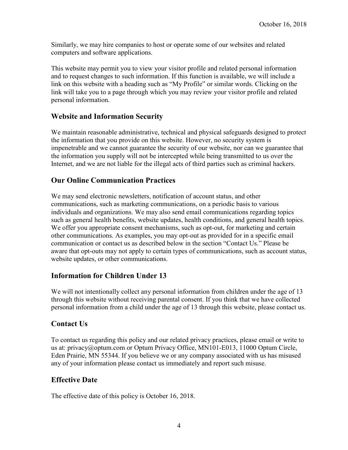Similarly, we may hire companies to host or operate some of our websites and related computers and software applications.

This website may permit you to view your visitor profile and related personal information and to request changes to such information. If this function is available, we will include a link on this website with a heading such as "My Profile" or similar words. Clicking on the link will take you to a page through which you may review your visitor profile and related personal information.

#### **Website and Information Security**

We maintain reasonable administrative, technical and physical safeguards designed to protect the information that you provide on this website. However, no security system is impenetrable and we cannot guarantee the security of our website, nor can we guarantee that the information you supply will not be intercepted while being transmitted to us over the Internet, and we are not liable for the illegal acts of third parties such as criminal hackers.

#### <span id="page-3-0"></span>**Our Online Communication Practices**

We may send electronic newsletters, notification of account status, and other communications, such as marketing communications, on a periodic basis to various individuals and organizations. We may also send email communications regarding topics such as general health benefits, website updates, health conditions, and general health topics. We offer you appropriate consent mechanisms, such as opt-out, for marketing and certain other communications. As examples, you may opt-out as provided for in a specific email communication or contact us as described below in the section "Contact Us." Please be aware that opt-outs may not apply to certain types of communications, such as account status, website updates, or other communications.

#### **Information for Children Under 13**

We will not intentionally collect any personal information from children under the age of 13 through this website without receiving parental consent. If you think that we have collected personal information from a child under the age of 13 through this website, please contact us.

#### **Contact Us**

To contact us regarding this policy and our related privacy practices, please email or write to us at: [privacy@optum.com](mailto:privacy@optum.com) or Optum Privacy Office, MN101-E013, 11000 Optum Circle, Eden Prairie, MN 55344. If you believe we or any company associated with us has misused any of your information please contact us immediately and report such misuse.

#### **Effective Date**

The effective date of this policy is October 16, 2018.